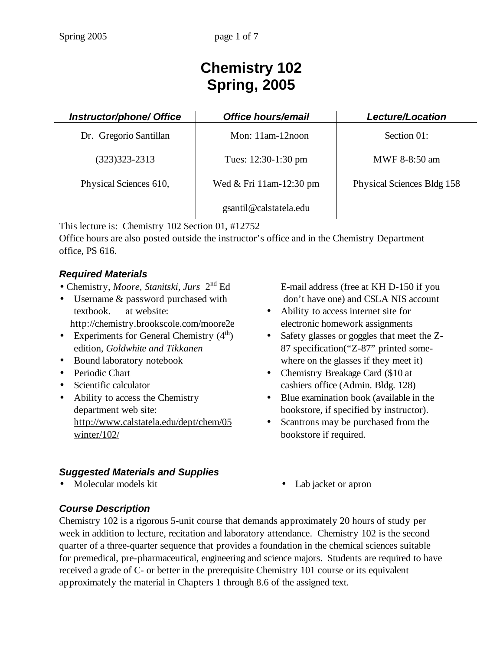# **Chemistry 102 Spring, 2005**

| Instructor/phone/ Office | <b>Office hours/email</b> | Lecture/Location           |
|--------------------------|---------------------------|----------------------------|
| Dr. Gregorio Santillan   | Mon: $11am-12noon$        | Section 01:                |
| $(323)323 - 2313$        | Tues: 12:30-1:30 pm       | MWF 8-8:50 am              |
| Physical Sciences 610,   | Wed & Fri 11am-12:30 pm   | Physical Sciences Bldg 158 |
|                          | gsantil@calstatela.edu    |                            |

This lecture is: Chemistry 102 Section 01, #12752

Office hours are also posted outside the instructor's office and in the Chemistry Department office, PS 616.

## *Required Materials*

- Chemistry, *Moore, Stanitski, Jurs* 2nd Ed
- Username & password purchased with textbook. at website: http://chemistry.brookscole.com/moore2e
- Experiments for General Chemistry  $(4<sup>th</sup>)$ edition, *Goldwhite and Tikkanen*
- Bound laboratory notebook
- Periodic Chart
- Scientific calculator
- Ability to access the Chemistry department web site: http://www.calstatela.edu/dept/chem/05 winter/102/

# *Suggested Materials and Supplies*

 E-mail address (free at KH D-150 if you don't have one) and CSLA NIS account

- Ability to access internet site for electronic homework assignments
- Safety glasses or goggles that meet the Z-87 specification("Z-87" printed somewhere on the glasses if they meet it)
- Chemistry Breakage Card (\$10 at cashiers office (Admin. Bldg. 128)
- Blue examination book (available in the bookstore, if specified by instructor).
- Scantrons may be purchased from the bookstore if required.
- Lab jacket or apron

### *Course Description*

Chemistry 102 is a rigorous 5-unit course that demands approximately 20 hours of study per week in addition to lecture, recitation and laboratory attendance. Chemistry 102 is the second quarter of a three-quarter sequence that provides a foundation in the chemical sciences suitable for premedical, pre-pharmaceutical, engineering and science majors. Students are required to have received a grade of C- or better in the prerequisite Chemistry 101 course or its equivalent approximately the material in Chapters 1 through 8.6 of the assigned text.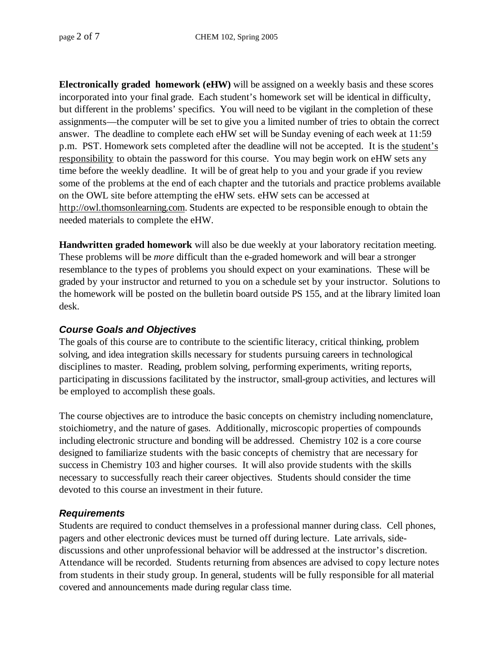**Electronically graded homework (eHW)** will be assigned on a weekly basis and these scores incorporated into your final grade. Each student's homework set will be identical in difficulty, but different in the problems' specifics. You will need to be vigilant in the completion of these assignments—the computer will be set to give you a limited number of tries to obtain the correct answer. The deadline to complete each eHW set will be Sunday evening of each week at 11:59 p.m. PST. Homework sets completed after the deadline will not be accepted. It is the student's responsibility to obtain the password for this course. You may begin work on eHW sets any time before the weekly deadline. It will be of great help to you and your grade if you review some of the problems at the end of each chapter and the tutorials and practice problems available on the OWL site before attempting the eHW sets. eHW sets can be accessed at http://owl.thomsonlearning.com. Students are expected to be responsible enough to obtain the needed materials to complete the eHW.

**Handwritten graded homework** will also be due weekly at your laboratory recitation meeting. These problems will be *more* difficult than the e-graded homework and will bear a stronger resemblance to the types of problems you should expect on your examinations. These will be graded by your instructor and returned to you on a schedule set by your instructor. Solutions to the homework will be posted on the bulletin board outside PS 155, and at the library limited loan desk.

#### *Course Goals and Objectives*

The goals of this course are to contribute to the scientific literacy, critical thinking, problem solving, and idea integration skills necessary for students pursuing careers in technological disciplines to master. Reading, problem solving, performing experiments, writing reports, participating in discussions facilitated by the instructor, small-group activities, and lectures will be employed to accomplish these goals.

The course objectives are to introduce the basic concepts on chemistry including nomenclature, stoichiometry, and the nature of gases. Additionally, microscopic properties of compounds including electronic structure and bonding will be addressed. Chemistry 102 is a core course designed to familiarize students with the basic concepts of chemistry that are necessary for success in Chemistry 103 and higher courses. It will also provide students with the skills necessary to successfully reach their career objectives. Students should consider the time devoted to this course an investment in their future.

#### *Requirements*

Students are required to conduct themselves in a professional manner during class. Cell phones, pagers and other electronic devices must be turned off during lecture. Late arrivals, sidediscussions and other unprofessional behavior will be addressed at the instructor's discretion. Attendance will be recorded. Students returning from absences are advised to copy lecture notes from students in their study group. In general, students will be fully responsible for all material covered and announcements made during regular class time.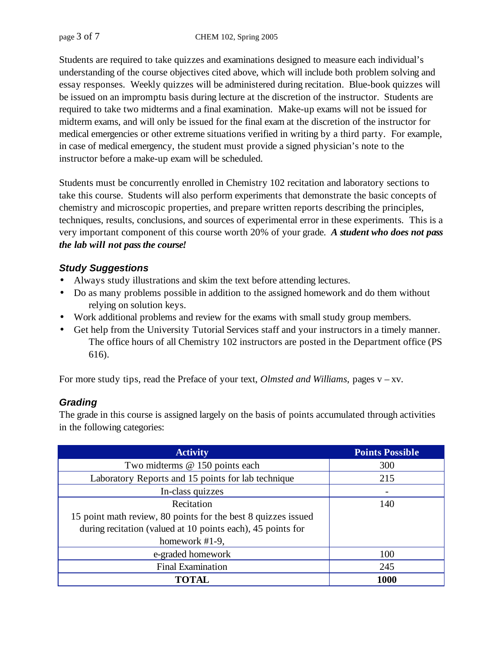Students are required to take quizzes and examinations designed to measure each individual's understanding of the course objectives cited above, which will include both problem solving and essay responses. Weekly quizzes will be administered during recitation. Blue-book quizzes will be issued on an impromptu basis during lecture at the discretion of the instructor. Students are required to take two midterms and a final examination. Make-up exams will not be issued for midterm exams, and will only be issued for the final exam at the discretion of the instructor for medical emergencies or other extreme situations verified in writing by a third party. For example, in case of medical emergency, the student must provide a signed physician's note to the instructor before a make-up exam will be scheduled.

Students must be concurrently enrolled in Chemistry 102 recitation and laboratory sections to take this course. Students will also perform experiments that demonstrate the basic concepts of chemistry and microscopic properties, and prepare written reports describing the principles, techniques, results, conclusions, and sources of experimental error in these experiments. This is a very important component of this course worth 20% of your grade. *A student who does not pass the lab will not pass the course!* 

### *Study Suggestions*

- Always study illustrations and skim the text before attending lectures.
- Do as many problems possible in addition to the assigned homework and do them without relying on solution keys.
- Work additional problems and review for the exams with small study group members.
- Get help from the University Tutorial Services staff and your instructors in a timely manner. The office hours of all Chemistry 102 instructors are posted in the Department office (PS 616).

For more study tips, read the Preface of your text, *Olmsted and Williams*, pages v – xv.

### *Grading*

The grade in this course is assigned largely on the basis of points accumulated through activities in the following categories:

| <b>Activity</b>                                               | <b>Points Possible</b> |
|---------------------------------------------------------------|------------------------|
| Two midterms @ 150 points each                                | 300                    |
| Laboratory Reports and 15 points for lab technique            | 215                    |
| In-class quizzes                                              |                        |
| Recitation                                                    | 140                    |
| 15 point math review, 80 points for the best 8 quizzes issued |                        |
| during recitation (valued at 10 points each), 45 points for   |                        |
| homework $#1-9$ ,                                             |                        |
| e-graded homework                                             | 100                    |
| <b>Final Examination</b>                                      | 245                    |
| <b>TOTAL</b>                                                  | 1000                   |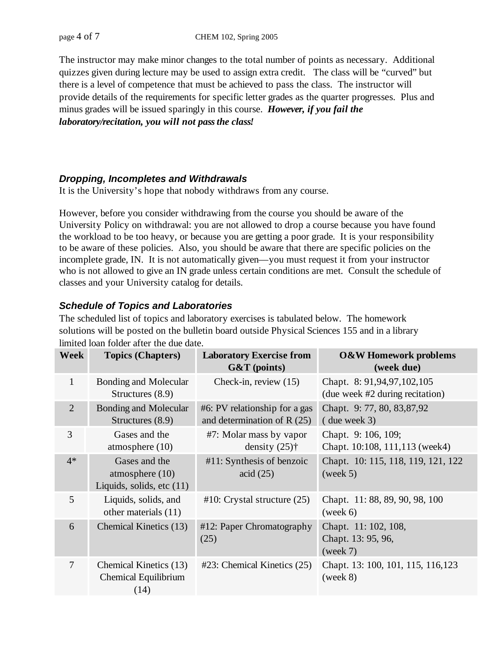The instructor may make minor changes to the total number of points as necessary. Additional quizzes given during lecture may be used to assign extra credit. The class will be "curved" but there is a level of competence that must be achieved to pass the class. The instructor will provide details of the requirements for specific letter grades as the quarter progresses. Plus and minus grades will be issued sparingly in this course. *However, if you fail the laboratory/recitation, you will not pass the class!* 

#### *Dropping, Incompletes and Withdrawals*

It is the University's hope that nobody withdraws from any course.

However, before you consider withdrawing from the course you should be aware of the University Policy on withdrawal: you are not allowed to drop a course because you have found the workload to be too heavy, or because you are getting a poor grade. It is your responsibility to be aware of these policies. Also, you should be aware that there are specific policies on the incomplete grade, IN. It is not automatically given—you must request it from your instructor who is not allowed to give an IN grade unless certain conditions are met. Consult the schedule of classes and your University catalog for details.

### *Schedule of Topics and Laboratories*

The scheduled list of topics and laboratory exercises is tabulated below. The homework solutions will be posted on the bulletin board outside Physical Sciences 155 and in a library

| <b>Week</b>    | <b>Topics (Chapters)</b>                                          | <b>Laboratory Exercise from</b><br>$G&T$ (points)             | <b>O&amp;W Homework problems</b><br>(week due)                |
|----------------|-------------------------------------------------------------------|---------------------------------------------------------------|---------------------------------------------------------------|
| $\mathbf{1}$   | <b>Bonding and Molecular</b><br>Structures (8.9)                  | Check-in, review (15)                                         | Chapt. 8: 91,94,97,102,105<br>(due week #2 during recitation) |
| $\overline{2}$ | <b>Bonding and Molecular</b><br>Structures (8.9)                  | #6: PV relationship for a gas<br>and determination of $R(25)$ | Chapt. 9:77, 80, 83,87,92<br>$($ due week 3)                  |
| 3              | Gases and the<br>atmosphere $(10)$                                | #7: Molar mass by vapor<br>density $(25)$ <sup>†</sup>        | Chapt. 9: 106, 109;<br>Chapt. 10:108, 111, 113 (week4)        |
| $4*$           | Gases and the<br>atmosphere $(10)$<br>Liquids, solids, etc $(11)$ | $#11$ : Synthesis of benzoic<br>$\arcd(25)$                   | Chapt. 10: 115, 118, 119, 121, 122<br>(week 5)                |
| 5              | Liquids, solids, and<br>other materials (11)                      | $#10$ : Crystal structure $(25)$                              | Chapt. 11:88, 89, 90, 98, 100<br>(week 6)                     |
| 6              | Chemical Kinetics (13)                                            | #12: Paper Chromatography<br>(25)                             | Chapt. 11: 102, 108,<br>Chapt. 13: 95, 96,<br>(week 7)        |
| 7              | Chemical Kinetics (13)<br>Chemical Equilibrium<br>(14)            | $#23$ : Chemical Kinetics $(25)$                              | Chapt. 13: 100, 101, 115, 116, 123<br>(week 8)                |

limited loan folder after the due date.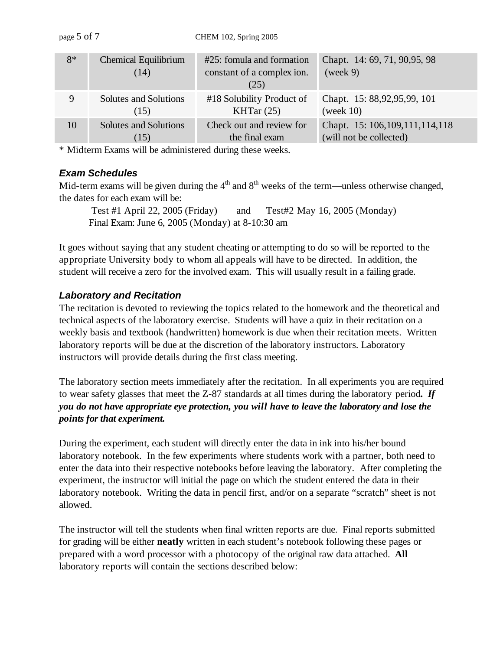| $8*$ | Chemical Equilibrium<br>(14) | #25: fomula and formation<br>constant of a complex ion.<br>(25) | Chapt. 14: 69, 71, 90, 95, 98<br>(week 9) |
|------|------------------------------|-----------------------------------------------------------------|-------------------------------------------|
| 9    | Solutes and Solutions        | #18 Solubility Product of                                       | Chapt. 15: 88,92,95,99, 101               |
|      | (15)                         | KHTar $(25)$                                                    | (week $10$ )                              |
| 10   | Solutes and Solutions        | Check out and review for                                        | Chapt. 15: 106, 109, 111, 114, 118        |
|      | (15)                         | the final exam                                                  | (will not be collected)                   |

\* Midterm Exams will be administered during these weeks.

### *Exam Schedules*

Mid-term exams will be given during the  $4<sup>th</sup>$  and  $8<sup>th</sup>$  weeks of the term—unless otherwise changed, the dates for each exam will be:

 Test #1 April 22, 2005 (Friday) and Test#2 May 16, 2005 (Monday) Final Exam: June 6, 2005 (Monday) at 8-10:30 am

It goes without saying that any student cheating or attempting to do so will be reported to the appropriate University body to whom all appeals will have to be directed. In addition, the student will receive a zero for the involved exam. This will usually result in a failing grade.

## *Laboratory and Recitation*

The recitation is devoted to reviewing the topics related to the homework and the theoretical and technical aspects of the laboratory exercise. Students will have a quiz in their recitation on a weekly basis and textbook (handwritten) homework is due when their recitation meets. Written laboratory reports will be due at the discretion of the laboratory instructors. Laboratory instructors will provide details during the first class meeting.

The laboratory section meets immediately after the recitation. In all experiments you are required to wear safety glasses that meet the Z-87 standards at all times during the laboratory period**.** *If you do not have appropriate eye protection, you will have to leave the laboratory and lose the points for that experiment.* 

During the experiment, each student will directly enter the data in ink into his/her bound laboratory notebook. In the few experiments where students work with a partner, both need to enter the data into their respective notebooks before leaving the laboratory. After completing the experiment, the instructor will initial the page on which the student entered the data in their laboratory notebook. Writing the data in pencil first, and/or on a separate "scratch" sheet is not allowed.

The instructor will tell the students when final written reports are due. Final reports submitted for grading will be either **neatly** written in each student's notebook following these pages or prepared with a word processor with a photocopy of the original raw data attached. **All** laboratory reports will contain the sections described below: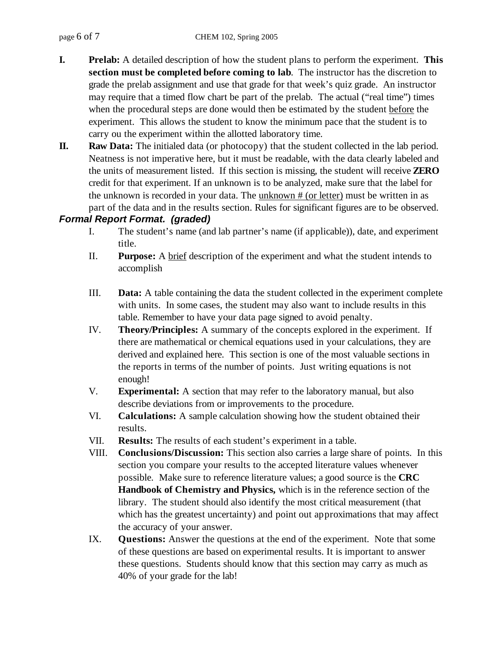- **I. Prelab:** A detailed description of how the student plans to perform the experiment. **This section must be completed before coming to lab**. The instructor has the discretion to grade the prelab assignment and use that grade for that week's quiz grade. An instructor may require that a timed flow chart be part of the prelab. The actual ("real time") times when the procedural steps are done would then be estimated by the student before the experiment. This allows the student to know the minimum pace that the student is to carry ou the experiment within the allotted laboratory time.
- **II. Raw Data:** The initialed data (or photocopy) that the student collected in the lab period. Neatness is not imperative here, but it must be readable, with the data clearly labeled and the units of measurement listed. If this section is missing, the student will receive **ZERO**  credit for that experiment. If an unknown is to be analyzed, make sure that the label for the unknown is recorded in your data. The unknown # (or letter) must be written in as part of the data and in the results section. Rules for significant figures are to be observed.

### *Formal Report Format. (graded)*

- I. The student's name (and lab partner's name (if applicable)), date, and experiment title.
- II. **Purpose:** A brief description of the experiment and what the student intends to accomplish
- III. **Data:** A table containing the data the student collected in the experiment complete with units. In some cases, the student may also want to include results in this table. Remember to have your data page signed to avoid penalty.
- IV. **Theory/Principles:** A summary of the concepts explored in the experiment. If there are mathematical or chemical equations used in your calculations, they are derived and explained here. This section is one of the most valuable sections in the reports in terms of the number of points. Just writing equations is not enough!
- V. **Experimental:** A section that may refer to the laboratory manual, but also describe deviations from or improvements to the procedure.
- VI. **Calculations:** A sample calculation showing how the student obtained their results.
- VII. **Results:** The results of each student's experiment in a table.
- VIII. **Conclusions/Discussion:** This section also carries a large share of points. In this section you compare your results to the accepted literature values whenever possible. Make sure to reference literature values; a good source is the **CRC Handbook of Chemistry and Physics,** which is in the reference section of the library. The student should also identify the most critical measurement (that which has the greatest uncertainty) and point out approximations that may affect the accuracy of your answer.
- IX. **Questions:** Answer the questions at the end of the experiment. Note that some of these questions are based on experimental results. It is important to answer these questions. Students should know that this section may carry as much as 40% of your grade for the lab!